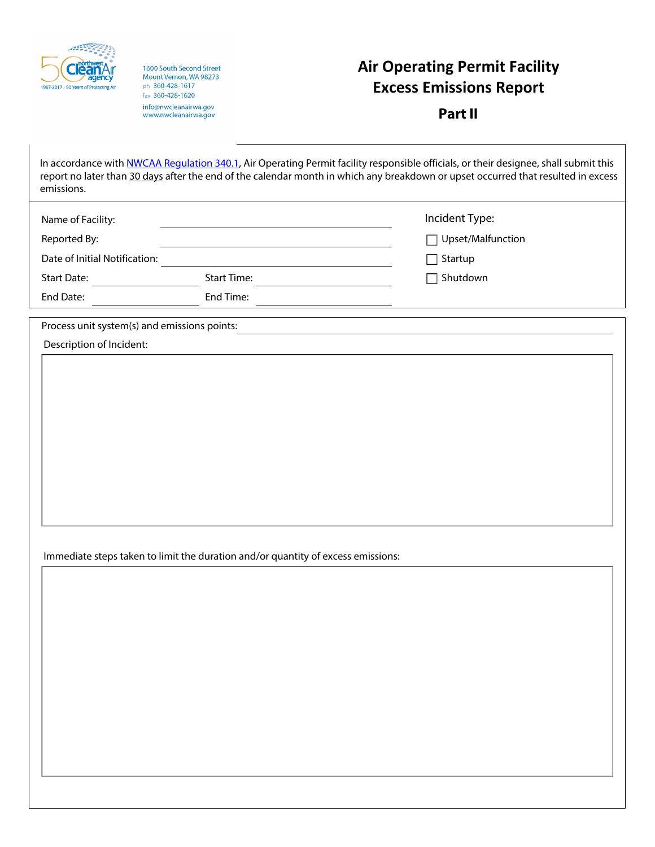

1600 South Second Street Mount Vernon, WA 98273 ph 360-428-1617 fax 360-428-1620 info@nwcleanairwa.gov<br>www.nwcleanairwa.gov

## **Air Operating Permit Facility Excess Emissions Report**

**Part II**

| emissions.                                                               |                                                                                  | In accordance with NWCAA Regulation 340.1, Air Operating Permit facility responsible officials, or their designee, shall submit this<br>report no later than 30 days after the end of the calendar month in which any breakdown or upset occurred that resulted in excess |
|--------------------------------------------------------------------------|----------------------------------------------------------------------------------|---------------------------------------------------------------------------------------------------------------------------------------------------------------------------------------------------------------------------------------------------------------------------|
| Name of Facility:                                                        |                                                                                  | Incident Type:                                                                                                                                                                                                                                                            |
| Reported By:                                                             |                                                                                  | Upset/Malfunction                                                                                                                                                                                                                                                         |
| Date of Initial Notification:                                            |                                                                                  | Startup                                                                                                                                                                                                                                                                   |
| <b>Start Date:</b>                                                       | <b>Start Time:</b>                                                               | Shutdown                                                                                                                                                                                                                                                                  |
| End Date:                                                                | End Time:                                                                        |                                                                                                                                                                                                                                                                           |
| Process unit system(s) and emissions points:<br>Description of Incident: |                                                                                  |                                                                                                                                                                                                                                                                           |
|                                                                          | Immediate steps taken to limit the duration and/or quantity of excess emissions: |                                                                                                                                                                                                                                                                           |
|                                                                          |                                                                                  |                                                                                                                                                                                                                                                                           |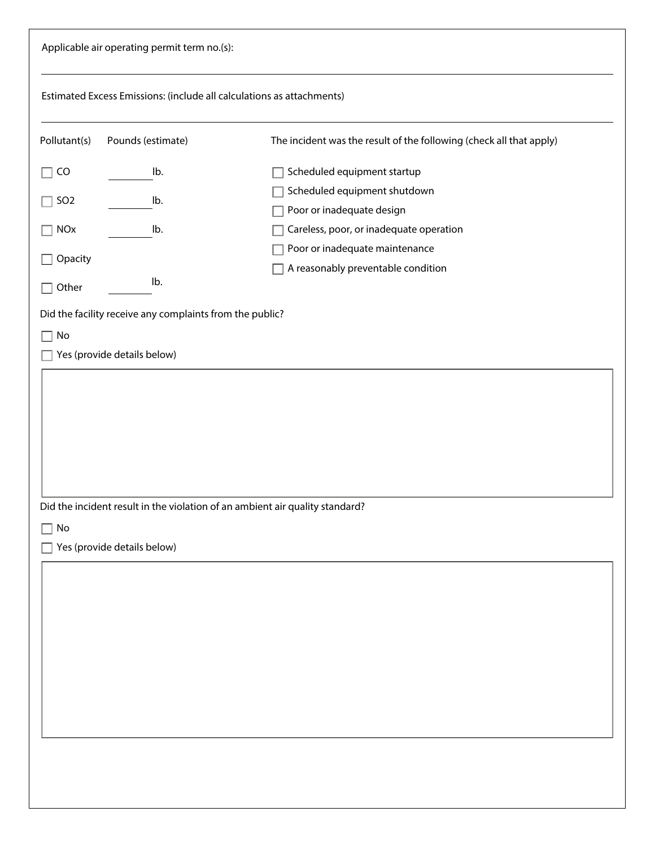|                                                   | Applicable air operating permit term no.(s):                                            |                                                                                                                 |
|---------------------------------------------------|-----------------------------------------------------------------------------------------|-----------------------------------------------------------------------------------------------------------------|
|                                                   | Estimated Excess Emissions: (include all calculations as attachments)                   |                                                                                                                 |
| Pollutant(s)                                      | Pounds (estimate)                                                                       | The incident was the result of the following (check all that apply)                                             |
| CO<br>$\overline{\phantom{0}}$<br>SO <sub>2</sub> | lb.<br>lb.                                                                              | Scheduled equipment startup<br>Scheduled equipment shutdown<br>Poor or inadequate design                        |
| <b>NOx</b><br>Opacity<br>Other                    | lb.<br>lb.                                                                              | Careless, poor, or inadequate operation<br>Poor or inadequate maintenance<br>A reasonably preventable condition |
| No                                                | Did the facility receive any complaints from the public?<br>Yes (provide details below) |                                                                                                                 |
| $\operatorname{\mathsf{No}}$<br>П                 | Yes (provide details below)                                                             | Did the incident result in the violation of an ambient air quality standard?                                    |
|                                                   |                                                                                         |                                                                                                                 |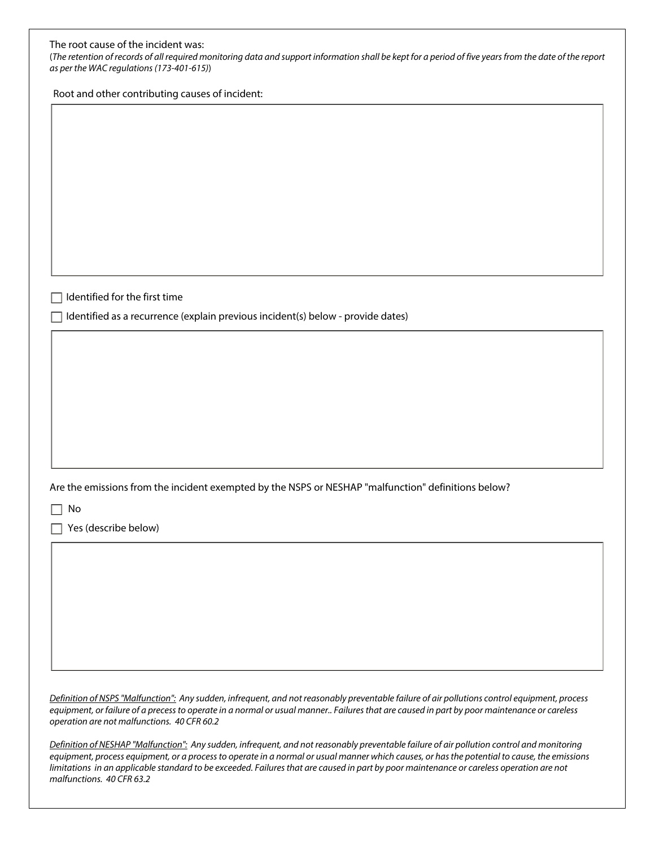(*The retention of records of all required monitoring data and support information shall be kept for a period of five years from the date of the report as per the WAC regulations (173-401-615)*)

Root and other contributing causes of incident:

 $\Box$  Identified for the first time

 $\Box$  Identified as a recurrence (explain previous incident(s) below - provide dates)

Are the emissions from the incident exempted by the NSPS or NESHAP "malfunction" definitions below?

 $\Box$  No

 $\Box$  Yes (describe below)

*Definition of NSPS "Malfunction": Any sudden, infrequent, and not reasonably preventable failure of air pollutions control equipment, process equipment, or failure of a precess to operate in a normal or usual manner.. Failures that are caused in part by poor maintenance or careless operation are not malfunctions. 40 CFR 60.2*

*Definition of NESHAP "Malfunction": Any sudden, infrequent, and not reasonably preventable failure of air pollution control and monitoring equipment, process equipment, or a process to operate in a normal or usual manner which causes, or has the potential to cause, the emissions limitations in an applicable standard to be exceeded. Failures that are caused in part by poor maintenance or careless operation are not malfunctions. 40 CFR 63.2*